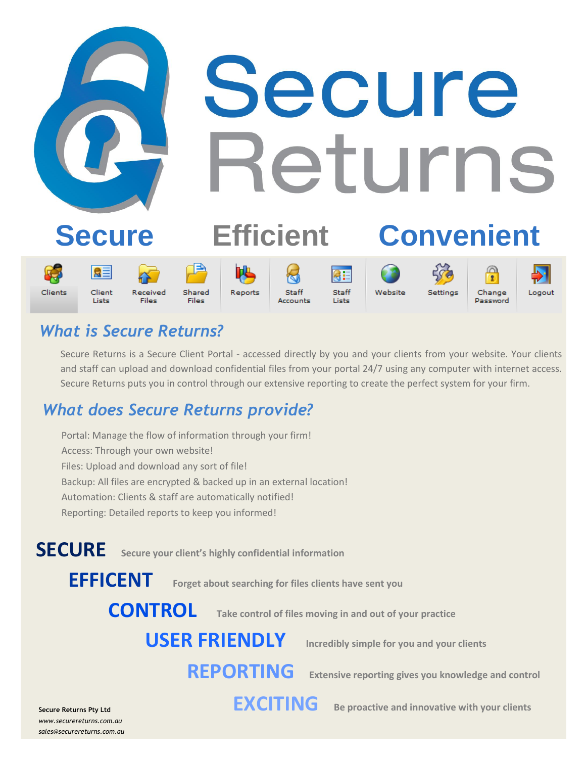

# *What is Secure Returns?*

Secure Returns is a Secure Client Portal - accessed directly by you and your clients from your website. Your clients and staff can upload and download confidential files from your portal 24/7 using any computer with internet access. Secure Returns puts you in control through our extensive reporting to create the perfect system for your firm.

# *What does Secure Returns provide?*

Portal: Manage the flow of information through your firm! Access: Through your own website! Files: Upload and download any sort of file! Backup: All files are encrypted & backed up in an external location! Automation: Clients & staff are automatically notified! Reporting: Detailed reports to keep you informed!

**SECURE Secure your client's highly confidential information** 

**EFFICENT Forget about searching for files clients have sent you**

**CONTROL Take control of files moving in and out of your practice**

# **USER FRIENDLY Incredibly simple for you and your clients**

**REPORTING Extensive reporting gives you knowledge and control**

**EXCITING Be proactive and innovative with your clients**

**Secure Returns Pty Ltd** *www.securereturns.com.au sales@securereturns.com.au*